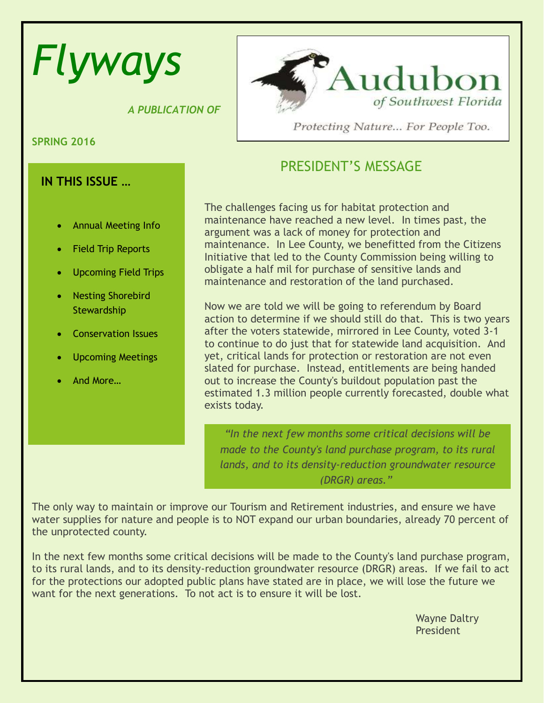# *Flyways*

 *A PUBLICATION OF*

**SPRING 2016**

# **IN THIS ISSUE …**

- Annual Meeting Info
- Field Trip Reports
- Upcoming Field Trips
- Nesting Shorebird **Stewardship**
- Conservation Issues
- Upcoming Meetings
- And More…



Protecting Nature... For People Too.

# PRESIDENT'S MESSAGE

The challenges facing us for habitat protection and maintenance have reached a new level. In times past, the argument was a lack of money for protection and maintenance. In Lee County, we benefitted from the Citizens Initiative that led to the County Commission being willing to obligate a half mil for purchase of sensitive lands and maintenance and restoration of the land purchased.

Now we are told we will be going to referendum by Board action to determine if we should still do that. This is two years after the voters statewide, mirrored in Lee County, voted 3-1 to continue to do just that for statewide land acquisition. And yet, critical lands for protection or restoration are not even slated for purchase. Instead, entitlements are being handed out to increase the County's buildout population past the estimated 1.3 million people currently forecasted, double what exists today.

*"In the next few months some critical decisions will be made to the County's land purchase program, to its rural lands, and to its density-reduction groundwater resource (DRGR) areas."*

The only way to maintain or improve our Tourism and Retirement industries, and ensure we have water supplies for nature and people is to NOT expand our urban boundaries, already 70 percent of the unprotected county.

In the next few months some critical decisions will be made to the County's land purchase program, to its rural lands, and to its density-reduction groundwater resource (DRGR) areas. If we fail to act for the protections our adopted public plans have stated are in place, we will lose the future we want for the next generations. To not act is to ensure it will be lost.

> Wayne Daltry President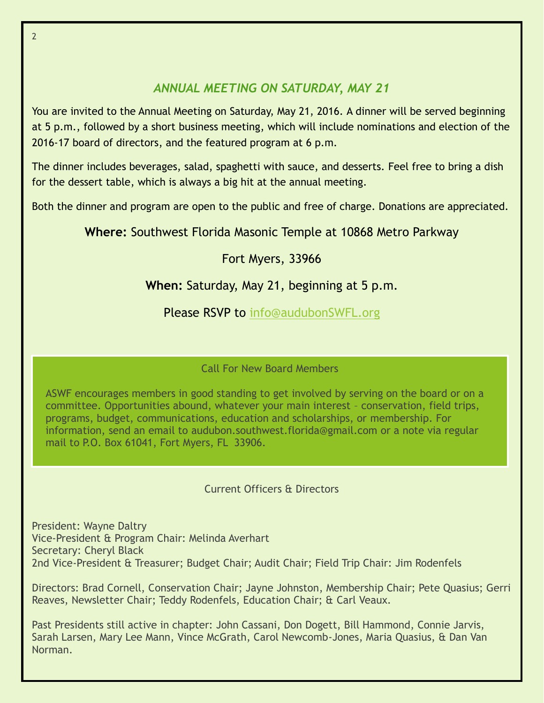# *ANNUAL MEETING ON SATURDAY, MAY 21*

You are invited to the Annual Meeting on Saturday, May 21, 2016. A dinner will be served beginning at 5 p.m., followed by a short business meeting, which will include nominations and election of the 2016-17 board of directors, and the featured program at 6 p.m.

The dinner includes beverages, salad, spaghetti with sauce, and desserts. Feel free to bring a dish for the dessert table, which is always a big hit at the annual meeting.

Both the dinner and program are open to the public and free of charge. Donations are appreciated.

**Where:** Southwest Florida Masonic Temple at 10868 Metro Parkway

# Fort Myers, 33966

# **When:** Saturday, May 21, beginning at 5 p.m.

Please RSVP to [info@audubonSWFL.org](mailto:info@audubonSWFL.org)

Call For New Board Members

ASWF encourages members in good standing to get involved by serving on the board or on a committee. Opportunities abound, whatever your main interest – conservation, field trips, programs, budget, communications, education and scholarships, or membership. For information, send an email to audubon.southwest.florida@gmail.com or a note via regular mail to P.O. Box 61041, Fort Myers, FL 33906.

# Current Officers & Directors

President: Wayne Daltry Vice-President & Program Chair: Melinda Averhart Secretary: Cheryl Black 2nd Vice-President & Treasurer; Budget Chair; Audit Chair; Field Trip Chair: Jim Rodenfels

Directors: Brad Cornell, Conservation Chair; Jayne Johnston, Membership Chair; Pete Quasius; Gerri Reaves, Newsletter Chair; Teddy Rodenfels, Education Chair; & Carl Veaux.

Past Presidents still active in chapter: John Cassani, Don Dogett, Bill Hammond, Connie Jarvis, Sarah Larsen, Mary Lee Mann, Vince McGrath, Carol Newcomb-Jones, Maria Quasius, & Dan Van Norman.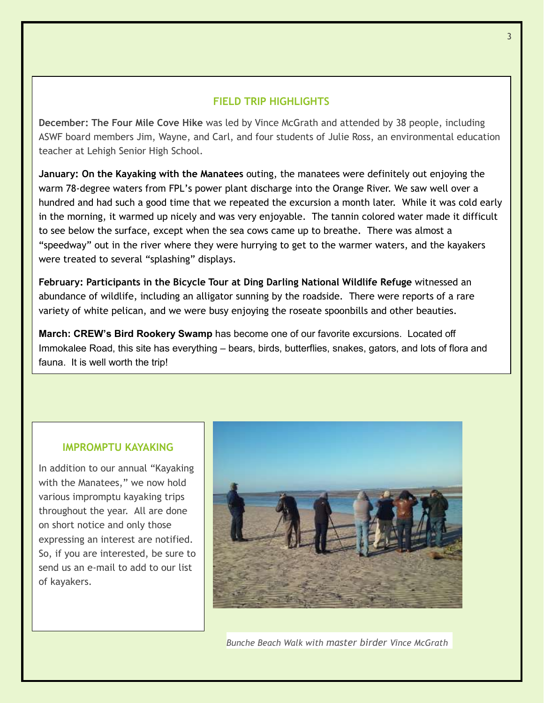## **FIELD TRIP HIGHLIGHTS**

**December: The Four Mile Cove Hike** was led by Vince McGrath and attended by 38 people, including ASWF board members Jim, Wayne, and Carl, and four students of Julie Ross, an environmental education teacher at Lehigh Senior High School.

**January: On the Kayaking with the Manatees** outing, the manatees were definitely out enjoying the warm 78-degree waters from FPL's power plant discharge into the Orange River. We saw well over a hundred and had such a good time that we repeated the excursion a month later. While it was cold early in the morning, it warmed up nicely and was very enjoyable. The tannin colored water made it difficult to see below the surface, except when the sea cows came up to breathe. There was almost a "speedway" out in the river where they were hurrying to get to the warmer waters, and the kayakers were treated to several "splashing" displays.

**February: Participants in the Bicycle Tour at Ding Darling National Wildlife Refuge** witnessed an abundance of wildlife, including an alligator sunning by the roadside. There were reports of a rare variety of white pelican, and we were busy enjoying the roseate spoonbills and other beauties.

**March: CREW's Bird Rookery Swamp** has become one of our favorite excursions. Located off Immokalee Road, this site has everything – bears, birds, butterflies, snakes, gators, and lots of flora and fauna. It is well worth the trip!

#### **IMPROMPTU KAYAKING**

In addition to our annual "Kayaking with the Manatees," we now hold various impromptu kayaking trips throughout the year. All are done on short notice and only those expressing an interest are notified. So, if you are interested, be sure to send us an e-mail to add to our list of kayakers.



*Bunche Beach Walk with master birder Vince McGrath*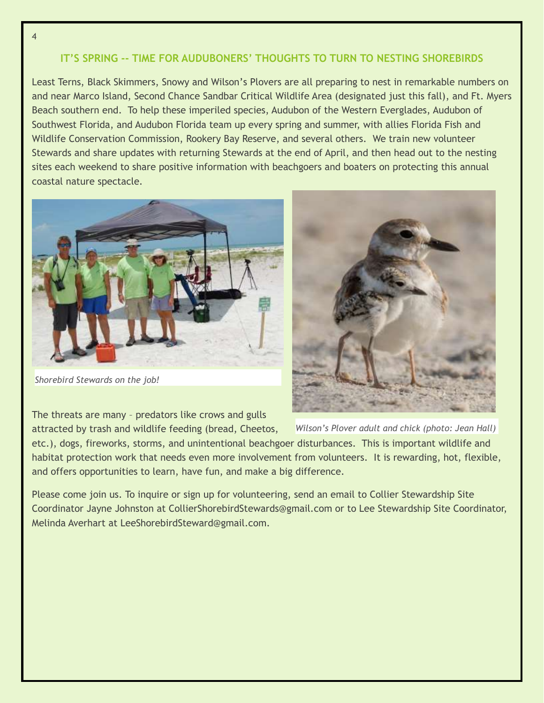## **IT'S SPRING -- TIME FOR AUDUBONERS' THOUGHTS TO TURN TO NESTING SHOREBIRDS**

Least Terns, Black Skimmers, Snowy and Wilson's Plovers are all preparing to nest in remarkable numbers on and near Marco Island, Second Chance Sandbar Critical Wildlife Area (designated just this fall), and Ft. Myers Beach southern end. To help these imperiled species, Audubon of the Western Everglades, Audubon of Southwest Florida, and Audubon Florida team up every spring and summer, with allies Florida Fish and Wildlife Conservation Commission, Rookery Bay Reserve, and several others. We train new volunteer Stewards and share updates with returning Stewards at the end of April, and then head out to the nesting sites each weekend to share positive information with beachgoers and boaters on protecting this annual coastal nature spectacle.



*Shorebird Stewards on the job!*

The threats are many – predators like crows and gulls



attracted by trash and wildlife feeding (bread, Cheetos, etc.), dogs, fireworks, storms, and unintentional beachgoer disturbances. This is important wildlife and habitat protection work that needs even more involvement from volunteers. It is rewarding, hot, flexible, and offers opportunities to learn, have fun, and make a big difference. *Wilson's Plover adult and chick (photo: Jean Hall)*

Please come join us. To inquire or sign up for volunteering, send an email to Collier Stewardship Site Coordinator Jayne Johnston at CollierShorebirdStewards@gmail.com or to Lee Stewardship Site Coordinator, Melinda Averhart at LeeShorebirdSteward@gmail.com.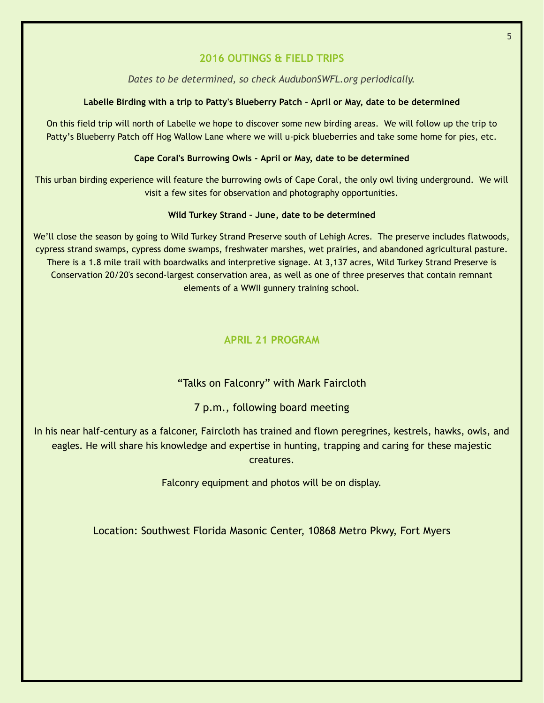## **2016 OUTINGS & FIELD TRIPS**

#### *Dates to be determined, so check AudubonSWFL.org periodically.*

#### **Labelle Birding with a trip to Patty's Blueberry Patch – April or May, date to be determined**

On this field trip will north of Labelle we hope to discover some new birding areas. We will follow up the trip to Patty's Blueberry Patch off Hog Wallow Lane where we will u-pick blueberries and take some home for pies, etc.

#### **Cape Coral's Burrowing Owls - April or May, date to be determined**

This urban birding experience will feature the burrowing owls of Cape Coral, the only owl living underground. We will visit a few sites for observation and photography opportunities.

#### **Wild Turkey Strand – June, date to be determined**

We'll close the season by going to Wild Turkey Strand Preserve south of Lehigh Acres. The preserve includes flatwoods, cypress strand swamps, cypress dome swamps, freshwater marshes, wet prairies, and abandoned agricultural pasture. There is a 1.8 mile trail with boardwalks and interpretive signage. At 3,137 acres, Wild Turkey Strand Preserve is Conservation 20/20's second-largest conservation area, as well as one of three preserves that contain remnant elements of a WWII gunnery training school.

## **APRIL 21 PROGRAM**

## "Talks on Falconry" with Mark Faircloth

## 7 p.m., following board meeting

In his near half-century as a falconer, Faircloth has trained and flown peregrines, kestrels, hawks, owls, and eagles. He will share his knowledge and expertise in hunting, trapping and caring for these majestic creatures.

Falconry equipment and photos will be on display.

Location: Southwest Florida Masonic Center, 10868 Metro Pkwy, Fort Myers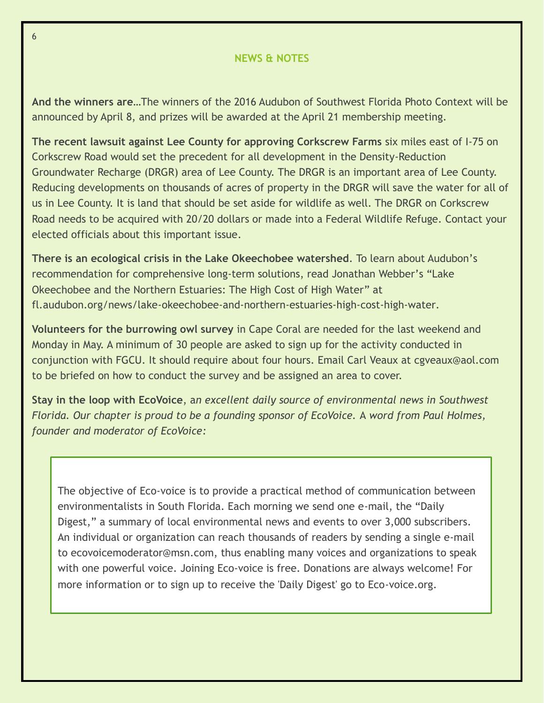### **NEWS & NOTES**

**And the winners are…**The winners of the 2016 Audubon of Southwest Florida Photo Context will be announced by April 8, and prizes will be awarded at the April 21 membership meeting.

**The recent lawsuit against Lee County for approving Corkscrew Farms** six miles east of I-75 on Corkscrew Road would set the precedent for all development in the Density-Reduction Groundwater Recharge (DRGR) area of Lee County. The DRGR is an important area of Lee County. Reducing developments on thousands of acres of property in the DRGR will save the water for all of us in Lee County. It is land that should be set aside for wildlife as well. The DRGR on Corkscrew Road needs to be acquired with 20/20 dollars or made into a Federal Wildlife Refuge. Contact your elected officials about this important issue.

**There is an ecological crisis in the Lake Okeechobee watershed**. To learn about Audubon's recommendation for comprehensive long-term solutions, read Jonathan Webber's "Lake Okeechobee and the Northern Estuaries: The High Cost of High Water" at fl.audubon.org/news/lake-okeechobee-and-northern-estuaries-high-cost-high-water.

**Volunteers for the burrowing owl survey** in Cape Coral are needed for the last weekend and Monday in May. A minimum of 30 people are asked to sign up for the activity conducted in conjunction with FGCU. It should require about four hours. Email Carl Veaux at cgveaux@aol.com to be briefed on how to conduct the survey and be assigned an area to cover.

**Stay in the loop with EcoVoice**, a*n excellent daily source of environmental news in Southwest Florida. Our chapter is proud to be a founding sponsor of EcoVoice.* A *word from Paul Holmes, founder and moderator of EcoVoice:*

The objective of Eco-voice is to provide a practical method of communication between environmentalists in South Florida. Each morning we send one e-mail, the "Daily Digest," a summary of local environmental news and events to over 3,000 subscribers. An individual or organization can reach thousands of readers by sending a single e-mail to ecovoicemoderator@msn.com, thus enabling many voices and organizations to speak with one powerful voice. Joining Eco-voice is free. Donations are always welcome! For more information or to sign up to receive the 'Daily Digest' go to Eco-voice.org.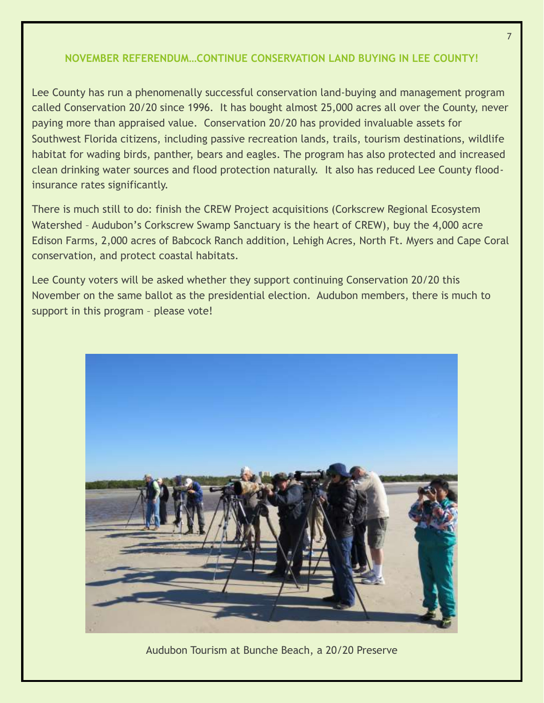## **NOVEMBER REFERENDUM…CONTINUE CONSERVATION LAND BUYING IN LEE COUNTY!**

Lee County has run a phenomenally successful conservation land-buying and management program called Conservation 20/20 since 1996. It has bought almost 25,000 acres all over the County, never paying more than appraised value. Conservation 20/20 has provided invaluable assets for Southwest Florida citizens, including passive recreation lands, trails, tourism destinations, wildlife habitat for wading birds, panther, bears and eagles. The program has also protected and increased clean drinking water sources and flood protection naturally. It also has reduced Lee County floodinsurance rates significantly.

There is much still to do: finish the CREW Project acquisitions (Corkscrew Regional Ecosystem Watershed – Audubon's Corkscrew Swamp Sanctuary is the heart of CREW), buy the 4,000 acre Edison Farms, 2,000 acres of Babcock Ranch addition, Lehigh Acres, North Ft. Myers and Cape Coral conservation, and protect coastal habitats.

Lee County voters will be asked whether they support continuing Conservation 20/20 this November on the same ballot as the presidential election. Audubon members, there is much to support in this program – please vote!



Audubon Tourism at Bunche Beach, a 20/20 Preserve